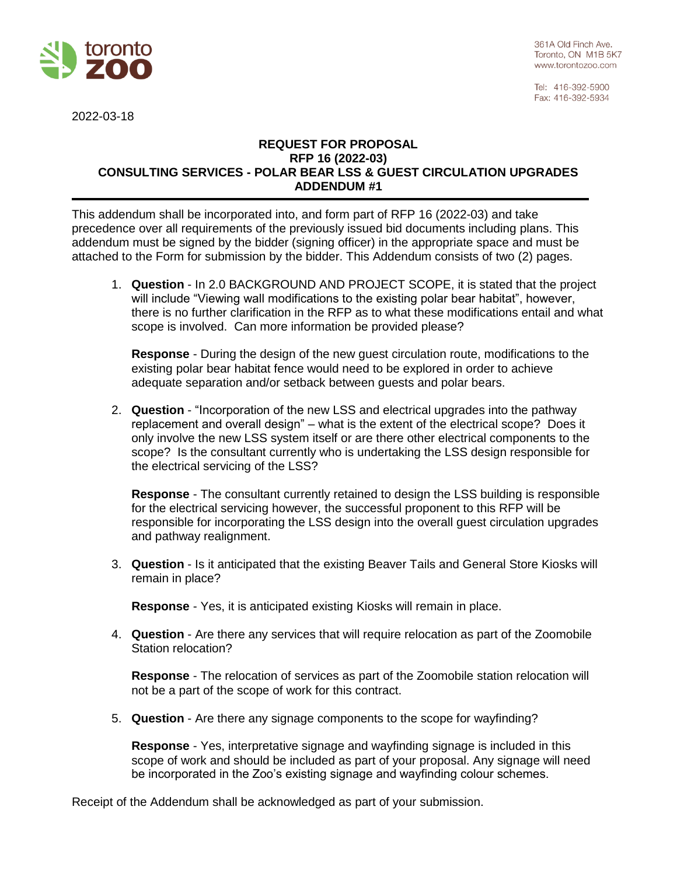

361A Old Finch Ave. Toronto, ON M1B 5K7 www.torontozoo.com

Tel: 416-392-5900 Fax: 416-392-5934

2022-03-18

## **REQUEST FOR PROPOSAL RFP 16 (2022-03) CONSULTING SERVICES - POLAR BEAR LSS & GUEST CIRCULATION UPGRADES ADDENDUM #1**

This addendum shall be incorporated into, and form part of RFP 16 (2022-03) and take precedence over all requirements of the previously issued bid documents including plans. This addendum must be signed by the bidder (signing officer) in the appropriate space and must be attached to the Form for submission by the bidder. This Addendum consists of two (2) pages.

1. **Question** - In 2.0 BACKGROUND AND PROJECT SCOPE, it is stated that the project will include "Viewing wall modifications to the existing polar bear habitat", however, there is no further clarification in the RFP as to what these modifications entail and what scope is involved. Can more information be provided please?

**Response** - During the design of the new guest circulation route, modifications to the existing polar bear habitat fence would need to be explored in order to achieve adequate separation and/or setback between guests and polar bears.

2. **Question** - "Incorporation of the new LSS and electrical upgrades into the pathway replacement and overall design" – what is the extent of the electrical scope? Does it only involve the new LSS system itself or are there other electrical components to the scope? Is the consultant currently who is undertaking the LSS design responsible for the electrical servicing of the LSS?

**Response** - The consultant currently retained to design the LSS building is responsible for the electrical servicing however, the successful proponent to this RFP will be responsible for incorporating the LSS design into the overall guest circulation upgrades and pathway realignment.

3. **Question** - Is it anticipated that the existing Beaver Tails and General Store Kiosks will remain in place?

**Response** - Yes, it is anticipated existing Kiosks will remain in place.

4. **Question** - Are there any services that will require relocation as part of the Zoomobile Station relocation?

**Response** - The relocation of services as part of the Zoomobile station relocation will not be a part of the scope of work for this contract.

5. **Question** - Are there any signage components to the scope for wayfinding?

**Response** - Yes, interpretative signage and wayfinding signage is included in this scope of work and should be included as part of your proposal. Any signage will need be incorporated in the Zoo's existing signage and wayfinding colour schemes.

Receipt of the Addendum shall be acknowledged as part of your submission.